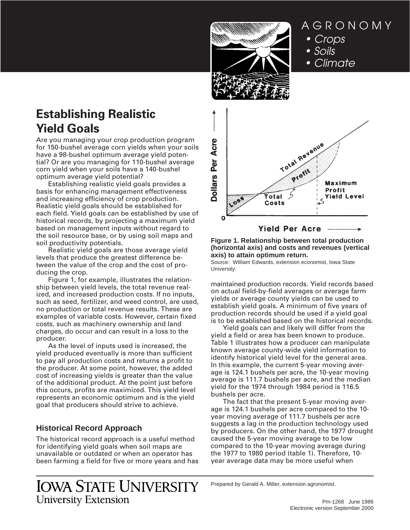

AGRONOMY • Crops • Soils • Climate

# **Establishing Realistic Yield Goals**

Are you managing your crop production program for 150-bushel average corn yields when your soils have a 98-bushel optimum average yield potential? Or are you managing for 110-bushel average corn yield when your soils have a 140-bushel optimum average yield potential?

Establishing realistic yield goals provides a basis for enhancing management effectiveness and increasing efficiency of crop production. Realistic yield goals should be established for each field. Yield goals can be established by use of historical records, by projecting a maximum yield based on management inputs without regard to the soil resource base, or by using soil maps and soil productivity potentials.

Realistic yield goals are those average yield levels that produce the greatest difference between the value of the crop and the cost of producing the crop.

Figure 1, for example, illustrates the relationship between yield levels, the total revenue realized, and increased production costs. If no inputs, such as seed, fertilizer, and weed control, are used, no production or total revenue results. These are examples of variable costs. However, certain fixed costs, such as machinery ownership and land charges, do occur and can result in a loss to the producer.

As the level of inputs used is increased, the yield produced eventually is more than sufficient to pay all production costs and returns a profit to the producer. At some point, however, the added cost of increasing yields is greater than the value of the additional product. At the point just before this occurs, profits are maximized. This yield level represents an economic optimum and is the yield goal that producers should strive to achieve.

# **Historical Record Approach**

The historical record approach is a useful method for identifying yield goals when soil maps are unavailable or outdated or when an operator has been farming a field for five or more years and has



**Figure 1. Relationship between total production (horizontal axis) and costs and revenues (vertical axis) to attain optimum return.**

Source: William Edwards, extension economist, Iowa State University.

maintained production records. Yield records based on actual field-by-field averages or average farm yields or average county yields can be used to establish yield goals. A minimum of five years of production records should be used if a yield goal is to be established based on the historical records.

Yield goals can and likely will differ from the yield a field or area has been known to produce. Table 1 illustrates how a producer can manipulate known average county-wide yield information to identify historical yield level for the general area. In this example, the current 5-year moving average is 124.1 bushels per acre, the 10-year moving average is 111.7 bushels per acre, and the median yield for the 1974 through 1984 period is 116.5 bushels per acre.

The fact that the present 5-year moving average is 124.1 bushels per acre compared to the 10 year moving average of 111.7 bushels per acre suggests a lag in the production technology used by producers. On the other hand, the 1977 drought caused the 5-year moving average to be low compared to the 10-year moving average during the 1977 to 1980 period (table 1). Therefore, 10 year average data may be more useful when

# **IOWA STATE UNIVERSITY University Extension**

Prepared by Gerald A. Miller, extension agronomist.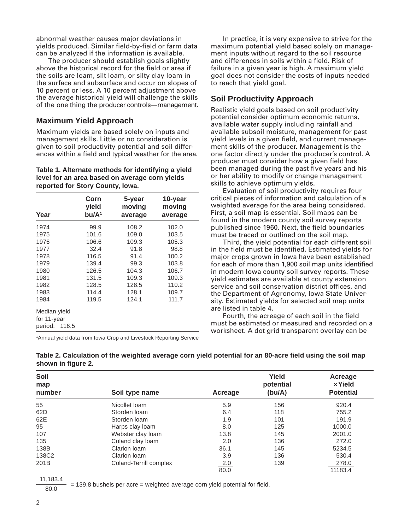abnormal weather causes major deviations in yields produced. Similar field-by-field or farm data can be analyzed if the information is available.

The producer should establish goals slightly above the historical record for the field or area if the soils are loam, silt loam, or silty clay loam in the surface and subsurface and occur on slopes of 10 percent or less. A 10 percent adjustment above the average historical yield will challenge the skills of the one thing the producer controls—management.

## **Maximum Yield Approach**

Maximum yields are based solely on inputs and management skills. Little or no consideration is given to soil productivity potential and soil differences within a field and typical weather for the area.

## **Table 1. Alternate methods for identifying a yield level for an area based on average corn yields reported for Story County, Iowa.**

|                  | Corn<br>yield     | 5-year<br>moving | 10-year<br>moving |  |  |  |
|------------------|-------------------|------------------|-------------------|--|--|--|
| Year             | bu/A <sup>1</sup> | average          | average           |  |  |  |
| 1974             | 99.9              | 108.2            | 102.0             |  |  |  |
| 1975             | 101.6             | 109.0            | 103.5             |  |  |  |
| 1976             | 106.6             | 109.3            | 105.3             |  |  |  |
| 1977             | 32.4              | 91.8             | 98.8              |  |  |  |
| 1978             | 116.5             | 91.4             | 100.2             |  |  |  |
| 1979             | 139.4             | 99.3             | 103.8             |  |  |  |
| 1980             | 126.5             | 104.3            | 106.7             |  |  |  |
| 1981             | 131.5             | 109.3            | 109.3             |  |  |  |
| 1982             | 128.5             | 128.5            | 110.2             |  |  |  |
| 1983             | 114.4             | 128.1            | 109.7             |  |  |  |
| 1984             | 119.5             | 124.1            | 111.7             |  |  |  |
| Median yield     |                   |                  |                   |  |  |  |
| for 11-year      |                   |                  |                   |  |  |  |
| period:<br>116.5 |                   |                  |                   |  |  |  |

1 Annual yield data from Iowa Crop and Livestock Reporting Service

In practice, it is very expensive to strive for the maximum potential yield based solely on management inputs without regard to the soil resource and differences in soils within a field. Risk of failure in a given year is high. A maximum yield goal does not consider the costs of inputs needed to reach that yield goal.

# **Soil Productivity Approach**

Realistic yield goals based on soil productivity potential consider optimum economic returns, available water supply including rainfall and available subsoil moisture, management for past yield levels in a given field, and current management skills of the producer. Management is the one factor directly under the producer's control. A producer must consider how a given field has been managed during the past five years and his or her ability to modify or change management skills to achieve optimum yields.

Evaluation of soil productivity requires four critical pieces of information and calculation of a weighted average for the area being considered. First, a soil map is essential. Soil maps can be found in the modern county soil survey reports published since 1960. Next, the field boundaries must be traced or outlined on the soil map.

Third, the yield potential for each different soil in the field must be identified. Estimated yields for major crops grown in Iowa have been established for each of more than 1,900 soil map units identified in modern Iowa county soil survey reports. These yield estimates are available at county extension service and soil conservation district offices, and the Department of Agronomy, Iowa State University. Estimated yields for selected soil map units are listed in table 4.

Fourth, the acreage of each soil in the field must be estimated or measured and recorded on a worksheet. A dot grid transparent overlay can be

| Soil<br>map<br>number | Soil type name         | Acreage | Yield<br>potential<br>(bu/A) | Acreage<br>$\times$ Yield<br><b>Potential</b> |
|-----------------------|------------------------|---------|------------------------------|-----------------------------------------------|
| 55                    | Nicollet Ioam          | 5.9     | 156                          | 920.4                                         |
| 62D                   | Storden loam           | 6.4     | 118                          | 755.2                                         |
| 62E                   | Storden loam           | 1.9     | 101                          | 191.9                                         |
| 95                    | Harps clay loam        | 8.0     | 125                          | 1000.0                                        |
| 107                   | Webster clay loam      | 13.8    | 145                          | 2001.0                                        |
| 135                   | Coland clay loam       | 2.0     | 136                          | 272.0                                         |
| 138B                  | Clarion Ioam           | 36.1    | 145                          | 5234.5                                        |
| 138C2                 | Clarion Ioam           | 3.9     | 136                          | 530.4                                         |
| 201B                  | Coland-Terrill complex | 2.0     | 139                          | 278.0                                         |
|                       |                        | 80.0    |                              | 11183.4                                       |
| .                     |                        |         |                              |                                               |

| Table 2. Calculation of the weighted average corn yield potential for an 80-acre field using the soil map |  |
|-----------------------------------------------------------------------------------------------------------|--|
| shown in figure 2.                                                                                        |  |

11,183.4

 = 139.8 bushels per acre = weighted average corn yield potential for field. 80.0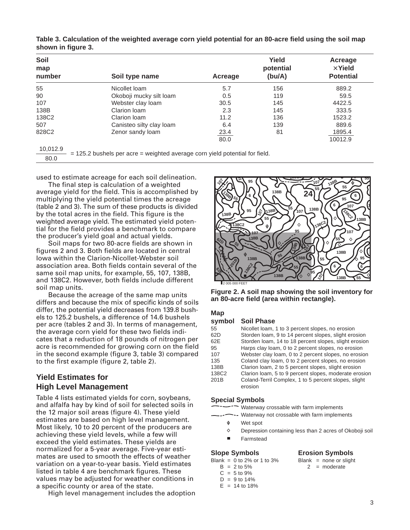| Soil<br>map<br>number | Soil type name           | Acreage     | Yield<br>potential<br>(bu/A) | Acreage<br>$\times$ Yield<br><b>Potential</b> |
|-----------------------|--------------------------|-------------|------------------------------|-----------------------------------------------|
| 55                    | Nicollet Ioam            | 5.7         | 156                          | 889.2                                         |
| 90                    | Okoboji mucky silt loam  | 0.5         | 119                          | 59.5                                          |
| 107                   | Webster clay loam        | 30.5        | 145                          | 4422.5                                        |
| 138B                  | Clarion Ioam             | 2.3         | 145                          | 333.5                                         |
| 138C2                 | Clarion Ioam             | 11.2        | 136                          | 1523.2                                        |
| 507                   | Canisteo silty clay loam | 6.4         | 139                          | 889.6                                         |
| 828C2                 | Zenor sandy loam         | <u>23.4</u> | 81                           | 1895.4                                        |
|                       |                          | 80.0        |                              | 10012.9                                       |
| 10.012.9              |                          |             |                              |                                               |

**Table 3. Calculation of the weighted average corn yield potential for an 80-acre field using the soil map shown in figure 3.**

80.0

 $= 125.2$  bushels per acre  $=$  weighted average corn yield potential for field.

used to estimate acreage for each soil delineation.

The final step is calculation of a weighted average yield for the field. This is accomplished by multiplying the yield potential times the acreage (table 2 and 3). The sum of these products is divided by the total acres in the field. This figure is the weighted average yield. The estimated yield potential for the field provides a benchmark to compare the producer's yield goal and actual yields.

Soil maps for two 80-acre fields are shown in figures 2 and 3. Both fields are located in central Iowa within the Clarion-Nicollet-Webster soil association area. Both fields contain several of the same soil map units, for example, 55, 107, 138B, and 138C2. However, both fields include different soil map units.

Because the acreage of the same map units differs and because the mix of specific kinds of soils differ, the potential yield decreases from 139.8 bushels to 125.2␣ bushels, a difference of 14.6␣ bushels per acre (tables 2 and 3). In terms of management, the average corn yield for these two fields indicates that a reduction of 18 pounds of nitrogen per acre is recommended for growing corn on the field in the second example (figure 3, table 3) compared to the first example (figure 2, table 2).

## **Yield Estimates for High Level Management**

Table 4 lists estimated yields for corn, soybeans, and alfalfa hay by kind of soil for selected soils in the 12 major soil areas (figure 4). These yield estimates are based on high level management. Most likely, 10 to 20 percent of the producers are achieving these yield levels, while a few will exceed the yield estimates. These yields are normalized for a 5-year average. Five-year estimates are used to smooth the effects of weather variation on a year-to-year basis. Yield estimates listed in table 4 are benchmark figures. These values may be adjusted for weather conditions in a specific county or area of the state.

High level management includes the adoption



**Figure 2. A soil map showing the soil inventory for an 80-acre field (area within rectangle).**

## **Map**

## **symbol Soil Phase**

| 55    | Nicollet Ioam, 1 to 3 percent slopes, no erosion      |
|-------|-------------------------------------------------------|
| 62D   | Storden loam, 9 to 14 percent slopes, slight erosion  |
| 62E   | Storden Ioam, 14 to 18 percent slopes, slight erosion |
| 95    | Harps clay loam, 0 to 2 percent slopes, no erosion    |
| 107   | Webster clay loam, 0 to 2 percent slopes, no erosion  |
| 135   | Coland clay loam, 0 to 2 percent slopes, no erosion   |
| 138B  | Clarion loam, 2 to 5 percent slopes, slight erosion   |
| 138C2 | Clarion Ioam, 5 to 9 percent slopes, moderate erosion |
| 201B  | Coland-Terril Complex, 1 to 5 percent slopes, slight  |
|       | erosion                                               |

## **Special Symbols**

-- Waterway crossable with farm implements

- Waterway not crossable with farm implements
- Wet spot ŵ
- $\Diamond$ Depression containing less than 2 acres of Okoboji soil
- Farmstead

## **Slope Symbols Erosion Symbols**

- 
- 
- $2 =$  moderate
- $C = 5$  to 9%
- $D = 9$  to 14%  $E = 14$  to 18%

Blank =  $0$  to 2% or 1 to 3% Blank = none or slight<br>B =  $2$  to 5% 2 = moderate

3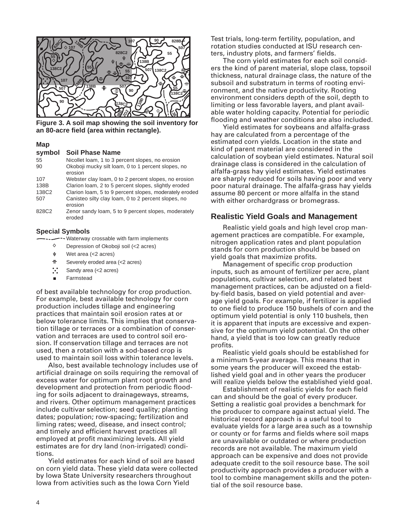

**Figure 3. A soil map showing the soil inventory for an 80-acre field (area within rectangle).**

## **Map**

### **symbol Soil Phase Name**

| 55    | Nicollet Ioam, 1 to 3 percent slopes, no erosion       |
|-------|--------------------------------------------------------|
| 90    | Okoboji mucky silt loam, 0 to 1 percent slopes, no     |
|       | erosion                                                |
| 107   | Webster clay loam, 0 to 2 percent slopes, no erosion   |
| 138B  | Clarion Ioam, 2 to 5 percent slopes, slightly eroded   |
| 138C2 | Clarion loam, 5 to 9 percent slopes, moderately eroded |
| 507   | Canisteo silty clay loam, 0 to 2 percent slopes, no    |
|       | erosion                                                |
|       |                                                        |

828C2 Zenor sandy loam, 5 to 9 percent slopes, moderately eroded

#### **Special Symbols**

- --- Waterway crossable with farm implements
	- $\Diamond$ Depression of Okoboji soil (<2 acres)
	- Φ Wet area (<2 acres)
- Severely eroded area (<2 acres)  $\equiv$
- $\ddot{\cdot}$ Sandy area (<2 acres)
- Farmstead

of best available technology for crop production. For example, best available technology for corn production includes tillage and engineering practices that maintain soil erosion rates at or below tolerance limits. This implies that conservation tillage or terraces or a combination of conservation and terraces are used to control soil erosion. If conservation tillage and terraces are not used, then a rotation with a sod-based crop is used to maintain soil loss within tolerance levels.

Also, best available technology includes use of artificial drainage on soils requiring the removal of excess water for optimum plant root growth and development and protection from periodic flooding for soils adjacent to drainageways, streams, and rivers. Other optimum management practices include cultivar selection; seed quality; planting dates; population; row-spacing; fertilization and liming rates; weed, disease, and insect control; and timely and efficient harvest practices all employed at profit maximizing levels. All yield estimates are for dry land (non-irrigated) conditions.

Yield estimates for each kind of soil are based on corn yield data. These yield data were collected by Iowa State University researchers throughout Iowa from activities such as the Iowa Corn Yield

Test trials, long-term fertility, population, and rotation studies conducted at ISU research centers, industry plots, and farmers' fields.

The corn yield estimates for each soil considers the kind of parent material, slope class, topsoil thickness, natural drainage class, the nature of the subsoil and substratum in terms of rooting environment, and the native productivity. Rooting environment considers depth of the soil, depth to limiting or less favorable layers, and plant available water holding capacity. Potential for periodic flooding and weather conditions are also included.

Yield estimates for soybeans and alfalfa-grass hay are calculated from a percentage of the estimated corn yields. Location in the state and kind of parent material are considered in the calculation of soybean yield estimates. Natural soil drainage class is considered in the calculation of alfalfa-grass hay yield estimates. Yield estimates are sharply reduced for soils having poor and very poor natural drainage. The alfalfa-grass hay yields assume 80 percent or more alfalfa in the stand with either orchardgrass or bromegrass.

## **Realistic Yield Goals and Management**

Realistic yield goals and high level crop management practices are compatible. For example, nitrogen application rates and plant population stands for corn production should be based on yield goals that maximize profits.

Management of specific crop production inputs, such as amount of fertilizer per acre, plant populations, cultivar selection, and related best management practices, can be adjusted on a fieldby-field basis, based on yield potential and average yield goals. For example, if fertilizer is applied to one field to produce 150 bushels of corn and the optimum yield potential is only 110 bushels, then it is apparent that inputs are excessive and expensive for the optimum yield potential. On the other hand, a yield that is too low can greatly reduce profits.

Realistic yield goals should be established for a minimum 5-year average. This means that in some years the producer will exceed the established yield goal and in other years the producer will realize yields below the established yield goal.

Establishment of realistic yields for each field can and should be the goal of every producer. Setting a realistic goal provides a benchmark for the producer to compare against actual yield. The historical record approach is a useful tool to evaluate yields for a large area such as a township or county or for farms and fields where soil maps are unavailable or outdated or where production records are not available. The maximum yield approach can be expensive and does not provide adequate credit to the soil resource base. The soil productivity approach provides a producer with a tool to combine management skills and the potential of the soil resource base.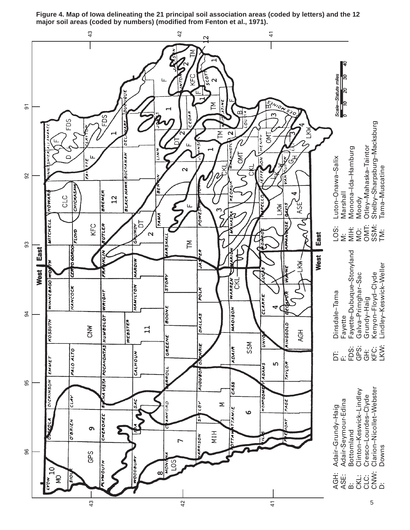

**Figure 4. Map of Iowa delineating the 21 principal soil association areas (coded by letters) and the 12 major soil areas (coded by numbers) (modified from Fenton et al., 1971).**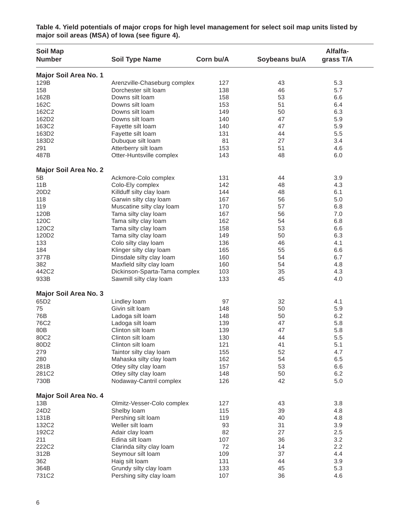| <b>Soil Map</b><br><b>Number</b> | <b>Soil Type Name</b>                            | Corn bu/A  | Soybeans bu/A | Alfalfa-<br>grass T/A |
|----------------------------------|--------------------------------------------------|------------|---------------|-----------------------|
| Major Soil Area No. 1            |                                                  |            |               |                       |
| 129B                             | Arenzville-Chaseburg complex                     | 127        | 43            | 5.3                   |
| 158                              | Dorchester silt loam                             | 138        | 46            | 5.7                   |
| 162B                             | Downs silt loam                                  | 158        | 53            | 6.6                   |
| 162C                             | Downs silt loam                                  | 153        | 51            | 6.4                   |
| 162C2                            | Downs silt loam                                  | 149        | 50            | 6.3                   |
| 162D2                            | Downs silt loam                                  | 140        | 47            | 5.9                   |
| 163C2                            | Fayette silt loam                                | 140        | 47            | 5.9                   |
| 163D2                            | Fayette silt loam                                | 131        | 44            | 5.5                   |
| 183D2                            | Dubuque silt loam                                | 81         | 27            | 3.4                   |
| 291                              | Atterberry silt loam                             | 153        | 51            | 4.6                   |
| 487B                             | Otter-Huntsville complex                         | 143        | 48            | 6.0                   |
| <b>Major Soil Area No. 2</b>     |                                                  |            |               |                       |
| 5B                               | Ackmore-Colo complex                             | 131        | 44            | 3.9                   |
| 11B                              | Colo-Ely complex                                 | 142        | 48            | 4.3                   |
| 20D <sub>2</sub>                 | Killduff silty clay loam                         | 144        | 48            | 6.1                   |
| 118                              | Garwin silty clay loam                           | 167        | 56            | 5.0                   |
| 119                              | Muscatine silty clay loam                        | 170        | 57            | 6.8                   |
| 120B                             | Tama silty clay loam                             | 167        | 56            | 7.0                   |
| 120C                             | Tama silty clay loam                             | 162        | 54            | 6.8                   |
| 120C2                            | Tama silty clay loam                             | 158        | 53            | 6.6                   |
| 120D2                            | Tama silty clay loam                             | 149        | 50            | 6.3                   |
| 133                              | Colo silty clay loam                             | 136        | 46            | 4.1                   |
| 184                              | Klinger silty clay loam                          | 165        | 55            | 6.6                   |
| 377B                             | Dinsdale silty clay loam                         | 160        | 54            | 6.7                   |
| 382                              | Maxfield silty clay loam                         | 160        | 54            | 4.8                   |
| 442C2                            | Dickinson-Sparta-Tama complex                    | 103        | 35            | 4.3                   |
| 933B                             | Sawmill silty clay loam                          | 133        | 45            | 4.0                   |
| Major Soil Area No. 3            |                                                  |            |               |                       |
| 65D <sub>2</sub>                 | Lindley loam                                     | 97         | 32            | 4.1                   |
| 75                               | Givin silt loam                                  | 148        | 50            | 5.9                   |
| 76B                              | Ladoga silt loam                                 | 148        | 50            | 6.2                   |
| 76C2                             | Ladoga silt loam                                 | 139        | 47            | 5.8                   |
| 80B                              | Clinton silt loam                                | 139        | 47            | 5.8                   |
| 80C2                             | Clinton silt loam                                | 130        | 44            | 5.5                   |
| 80D <sub>2</sub>                 | Clinton silt loam                                | 121        | 41            | 5.1                   |
| 279                              | Taintor silty clay loam                          | 155        | 52            | 4.7                   |
| 280                              | Mahaska silty clay loam                          | 162        | 54            | 6.5                   |
| 281B                             | Otley silty clay loam                            | 157        | 53            | 6.6                   |
| 281C2<br>730B                    | Otley silty clay loam<br>Nodaway-Cantril complex | 148<br>126 | 50<br>42      | 6.2<br>5.0            |
| Major Soil Area No. 4            |                                                  |            |               |                       |
| 13B                              | Olmitz-Vesser-Colo complex                       | 127        | 43            | 3.8                   |
| 24D2                             | Shelby Ioam                                      | 115        | 39            | 4.8                   |
| 131B                             | Pershing silt loam                               | 119        | 40            | 4.8                   |
| 132C2                            | Weller silt loam                                 | 93         | 31            | 3.9                   |
| 192C2                            | Adair clay loam                                  | 82         | 27            | 2.5                   |
| 211                              | Edina silt loam                                  | 107        | 36            | 3.2                   |
| 222C2                            | Clarinda silty clay loam                         | 72         | 14            | 2.2                   |
| 312B                             | Seymour silt loam                                | 109        | 37            | 4.4                   |
| 362                              | Haig silt loam                                   | 131        | 44            | 3.9                   |
| 364B                             | Grundy silty clay loam                           | 133        | 45            | 5.3                   |
| 731C2                            | Pershing silty clay loam                         | 107        | 36            | 4.6                   |

**Table 4. Yield potentials of major crops for high level management for select soil map units listed by major soil areas (MSA) of Iowa (see figure 4).**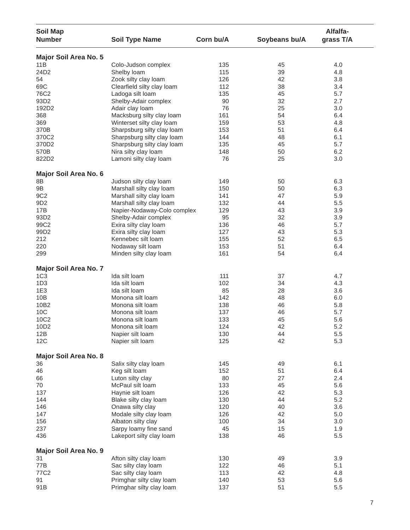| <b>Soil Map</b><br><b>Number</b> | <b>Soil Type Name</b>       | Corn bu/A | Soybeans bu/A | Alfalfa-<br>grass T/A |
|----------------------------------|-----------------------------|-----------|---------------|-----------------------|
| Major Soil Area No. 5            |                             |           |               |                       |
| 11B                              | Colo-Judson complex         | 135       | 45            | 4.0                   |
| 24D2                             | Shelby loam                 | 115       | 39            | 4.8                   |
| 54                               | Zook silty clay loam        | 126       | 42            | 3.8                   |
| 69C                              | Clearfield silty clay loam  | 112       | 38            | 3.4                   |
| 76C2                             | Ladoga silt loam            | 135       | 45            | 5.7                   |
| 93D2                             | Shelby-Adair complex        | 90        | 32            | 2.7                   |
| 192D2                            | Adair clay loam             | 76        | 25            | 3.0                   |
| 368                              | Macksburg silty clay loam   | 161       | 54            | 6.4                   |
|                                  | Winterset silty clay loam   | 159       | 53            | 4.8                   |
| 369                              |                             |           |               |                       |
| 370B                             | Sharpsburg silty clay loam  | 153       | 51            | 6.4                   |
| 370C2                            | Sharpsburg silty clay loam  | 144       | 48            | 6.1                   |
| 370D2                            | Sharpsburg silty clay loam  | 135       | 45            | 5.7                   |
| 570B                             | Nira silty clay loam        | 148       | 50            | 6.2                   |
| 822D2                            | Lamoni silty clay loam      | 76        | 25            | 3.0                   |
| Major Soil Area No. 6            |                             |           |               |                       |
| 8B                               | Judson silty clay loam      | 149       | 50            | 6.3                   |
| 9B                               | Marshall silty clay loam    | 150       | 50            | 6.3                   |
| 9C <sub>2</sub>                  | Marshall silty clay loam    | 141       | 47            | 5.9                   |
| 9D <sub>2</sub>                  | Marshall silty clay loam    | 132       | 44            | 5.5                   |
| 17B                              | Napier-Nodaway-Colo complex | 129       | 43            | 3.9                   |
| 93D2                             | Shelby-Adair complex        | 95        | 32            | 3.9                   |
| 99C2                             | Exira silty clay loam       | 136       | 46            | 5.7                   |
| 99D2                             | Exira silty clay loam       | 127       | 43            | 5.3                   |
| 212                              | Kennebec silt loam          | 155       | 52            | 6.5                   |
| 220                              | Nodaway silt loam           | 153       | 51            | 6.4                   |
| 299                              | Minden silty clay loam      | 161       | 54            | 6.4                   |
| <b>Major Soil Area No. 7</b>     |                             |           |               |                       |
| 1C <sub>3</sub>                  | Ida silt loam               | 111       | 37            | 4.7                   |
| 1D <sub>3</sub>                  | Ida silt Ioam               | 102       | 34            | 4.3                   |
| 1E3                              | Ida silt Ioam               | 85        | 28            | 3.6                   |
| 10B                              | Monona silt loam            | 142       | 48            | 6.0                   |
| 10B2                             | Monona silt loam            | 138       | 46            | 5.8                   |
| 10C                              | Monona silt loam            | 137       | 46            | 5.7                   |
| 10C2                             | Monona silt loam            | 133       | 45            | 5.6                   |
| 10D <sub>2</sub>                 | Monona silt loam            | 124       | 42            | 5.2                   |
|                                  | Napier silt loam            | 130       | 44            | 5.5                   |
| 12B                              |                             |           |               |                       |
| 12C                              | Napier silt loam            | 125       | 42            | 5.3                   |
| Major Soil Area No. 8            |                             |           |               |                       |
| 36                               | Salix silty clay loam       | 145       | 49            | 6.1                   |
| 46                               | Keg silt loam               | 152       | 51            | 6.4                   |
| 66                               | Luton silty clay            | 80        | 27            | 2.4                   |
| 70                               | McPaul silt loam            | 133       | 45            | 5.6                   |
| 137                              | Haynie silt loam            | 126       | 42            | 5.3                   |
| 144                              | Blake silty clay loam       | 130       | 44            | 5.2                   |
| 146                              | Onawa silty clay            | 120       | 40            | 3.6                   |
| 147                              | Modale silty clay loam      | 126       | 42            | 5.0                   |
| 156                              | Albaton silty clay          | 100       | 34            | 3.0                   |
| 237                              | Sarpy loamy fine sand       | 45        | 15            | 1.9                   |
| 436                              | Lakeport silty clay loam    | 138       | 46            | 5.5                   |
| Major Soil Area No. 9            |                             |           |               |                       |
| 31                               | Afton silty clay loam       | 130       | 49            | 3.9                   |
| 77B                              | Sac silty clay loam         | 122       | 46            | 5.1                   |
| 77C2                             | Sac silty clay loam         | 113       | 42            | 4.8                   |
| 91                               | Primghar silty clay loam    | 140       |               |                       |
|                                  |                             |           | 53            | 5.6                   |
| 91B                              | Primghar silty clay loam    | 137       | 51            | 5.5                   |